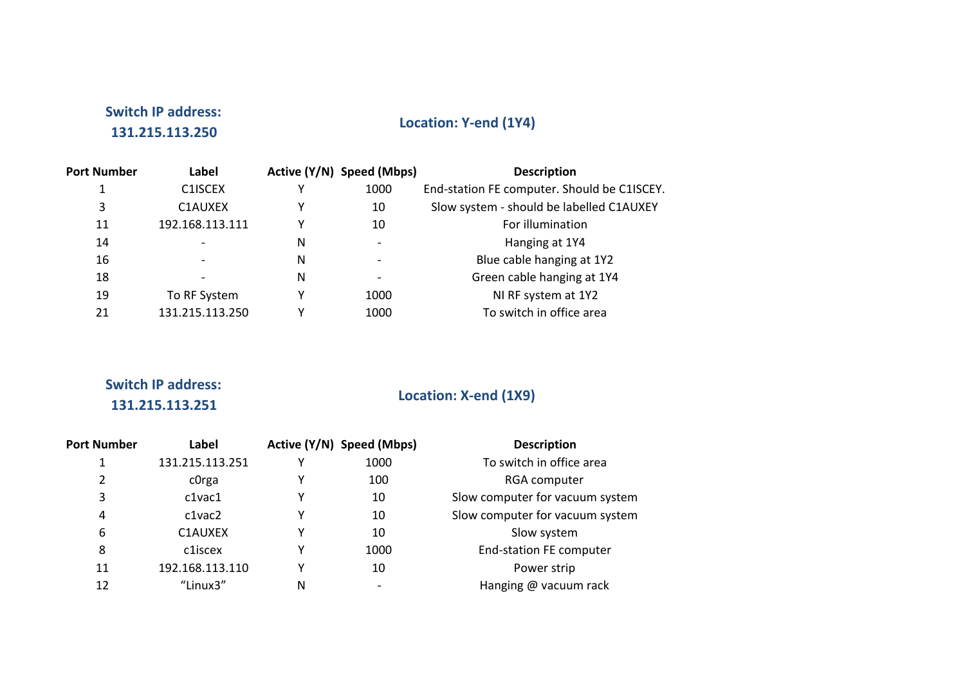## **Switch IP address: 131.215.113.250**

## Location: Y-end (1Y4)

| <b>Port Number</b> | Label           |   | Active (Y/N) Speed (Mbps) | <b>Description</b>                          |
|--------------------|-----------------|---|---------------------------|---------------------------------------------|
|                    | C1ISCEX         |   | 1000                      | End-station FE computer. Should be C1ISCEY. |
| 3                  | C1AUXEX         |   | 10                        | Slow system - should be labelled C1AUXEY    |
| 11                 | 192.168.113.111 |   | 10                        | For illumination                            |
| 14                 |                 | N | $\overline{\phantom{0}}$  | Hanging at 1Y4                              |
| 16                 |                 | N |                           | Blue cable hanging at 1Y2                   |
| 18                 |                 | N |                           | Green cable hanging at 1Y4                  |
| 19                 | To RF System    |   | 1000                      | NI RF system at 1Y2                         |
| 21                 | 131.215.113.250 |   | 1000                      | To switch in office area                    |

# **Switch IP address:**

## **131.215.113.251 Location:** X-end (1X9)

| <b>Port Number</b> | Label             |   | Active (Y/N) Speed (Mbps) | <b>Description</b>              |
|--------------------|-------------------|---|---------------------------|---------------------------------|
| 1                  | 131.215.113.251   | γ | 1000                      | To switch in office area        |
| 2                  | c <sub>Orga</sub> | Υ | 100                       | RGA computer                    |
| 3                  | $c1$ va $c1$      | Υ | 10                        | Slow computer for vacuum system |
| 4                  | c1vac2            | Υ | 10                        | Slow computer for vacuum system |
| 6                  | C1AUXEX           | γ | 10                        | Slow system                     |
| 8                  | c1iscex           | Y | 1000                      | <b>End-station FE computer</b>  |
| 11                 | 192.168.113.110   | γ | 10                        | Power strip                     |
| 12                 | "Linux3"          | N | $\overline{\phantom{0}}$  | Hanging @ vacuum rack           |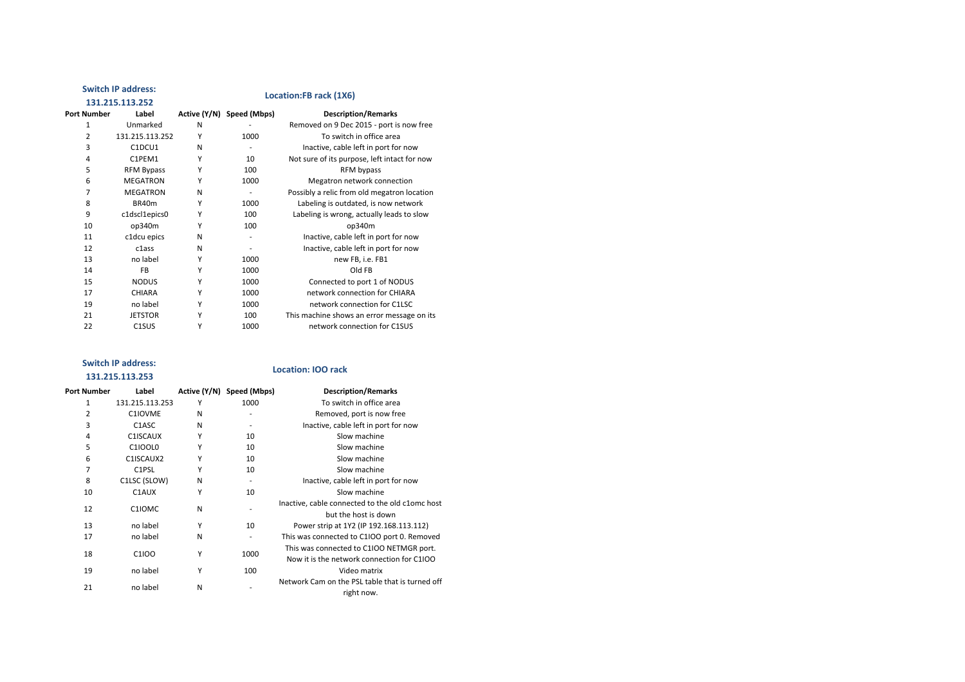#### **Switch IP address:**

#### **131.215.113.252 Location:FB** rack (1X6)

| <b>Port Number</b> | Label                          |   | Active (Y/N) Speed (Mbps) | <b>Description/Remarks</b>                   |
|--------------------|--------------------------------|---|---------------------------|----------------------------------------------|
| 1                  | Unmarked                       | N |                           | Removed on 9 Dec 2015 - port is now free     |
| 2                  | 131.215.113.252                | Υ | 1000                      | To switch in office area                     |
| 3                  | C1DCU1                         | N |                           | Inactive, cable left in port for now         |
| 4                  | C1PEM1                         | Υ | 10                        | Not sure of its purpose, left intact for now |
| 5                  | <b>RFM Bypass</b>              | Υ | 100                       | RFM bypass                                   |
| 6                  | <b>MEGATRON</b>                | Υ | 1000                      | Megatron network connection                  |
| 7                  | <b>MEGATRON</b>                | N |                           | Possibly a relic from old megatron location  |
| 8                  | BR40m                          | Υ | 1000                      | Labeling is outdated, is now network         |
| 9                  | c1dscl1epics0                  | Υ | 100                       | Labeling is wrong, actually leads to slow    |
| 10                 | op340m                         | Υ | 100                       | op340m                                       |
| 11                 | c1dcu epics                    | N |                           | Inactive, cable left in port for now         |
| 12                 | c1ass                          | N |                           | Inactive, cable left in port for now         |
| 13                 | no label                       | Υ | 1000                      | new FB, i.e. FB1                             |
| 14                 | <b>FB</b>                      | Υ | 1000                      | Old FB                                       |
| 15                 | <b>NODUS</b>                   | Υ | 1000                      | Connected to port 1 of NODUS                 |
| 17                 | <b>CHIARA</b>                  | Υ | 1000                      | network connection for CHIARA                |
| 19                 | no label                       | Υ | 1000                      | network connection for C1LSC                 |
| 21                 | <b>JETSTOR</b>                 | Υ | 100                       | This machine shows an error message on its   |
| 22                 | C <sub>1</sub> SU <sub>S</sub> | Υ | 1000                      | network connection for C1SUS                 |

#### **Switch IP address: 131.215.113.253**

#### Location: **IOO** rack

| Port Number | Label                           |   | Active (Y/N) Speed (Mbps) | <b>Description/Remarks</b>                                                             |
|-------------|---------------------------------|---|---------------------------|----------------------------------------------------------------------------------------|
| 1           | 131.215.113.253                 | Υ | 1000                      | To switch in office area                                                               |
| 2           | C1IOVME                         | N |                           | Removed, port is now free                                                              |
| 3           | C <sub>1</sub> A <sub>S</sub> C | N |                           | Inactive, cable left in port for now                                                   |
| 4           | C1ISCAUX                        | Υ | 10                        | Slow machine                                                                           |
| 5           | C1IOOL0                         | Υ | 10                        | Slow machine                                                                           |
| 6           | C1ISCAUX2                       | Υ | 10                        | Slow machine                                                                           |
| 7           | C <sub>1</sub> P <sub>SL</sub>  | Υ | 10                        | Slow machine                                                                           |
| 8           | C1LSC (SLOW)                    | N |                           | Inactive, cable left in port for now                                                   |
| 10          | C1AUX                           | Υ | 10                        | Slow machine                                                                           |
| 12          | C1IOMC                          | N |                           | Inactive, cable connected to the old c1omc host<br>but the host is down                |
| 13          | no label                        | Υ | 10                        | Power strip at 1Y2 (IP 192.168.113.112)                                                |
| 17          | no label                        | N |                           | This was connected to C1IOO port 0. Removed                                            |
| 18          | C <sub>1</sub> 100              | Υ | 1000                      | This was connected to C1IOO NETMGR port.<br>Now it is the network connection for C1IOO |
| 19          | no label                        | Υ | 100                       | Video matrix                                                                           |
| 21          | no label                        | N |                           | Network Cam on the PSL table that is turned off<br>right now.                          |